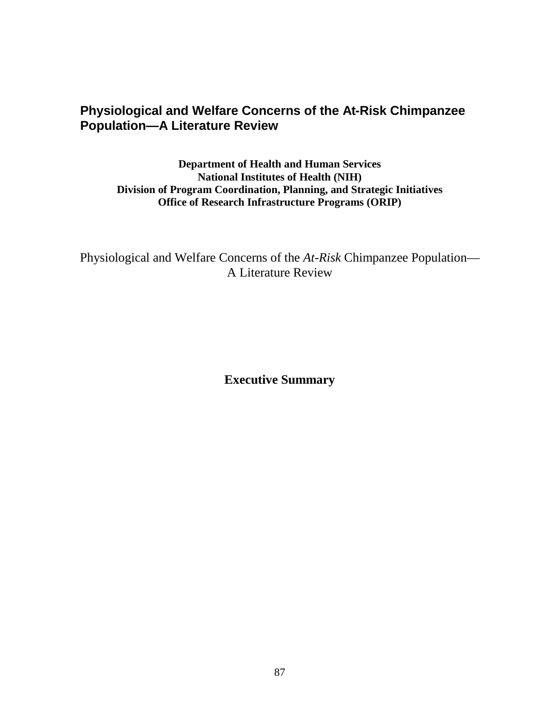## **Physiological and Welfare Concerns of the At-Risk Chimpanzee Population—A Literature Review**

 **Division of Program Coordination, Planning, and Strategic Initiatives Office of Research Infrastructure Programs (ORIP) Department of Health and Human Services National Institutes of Health (NIH)** 

 Physiological and Welfare Concerns of the *At-Risk* Chimpanzee Population— A Literature Review

**Executive Summary**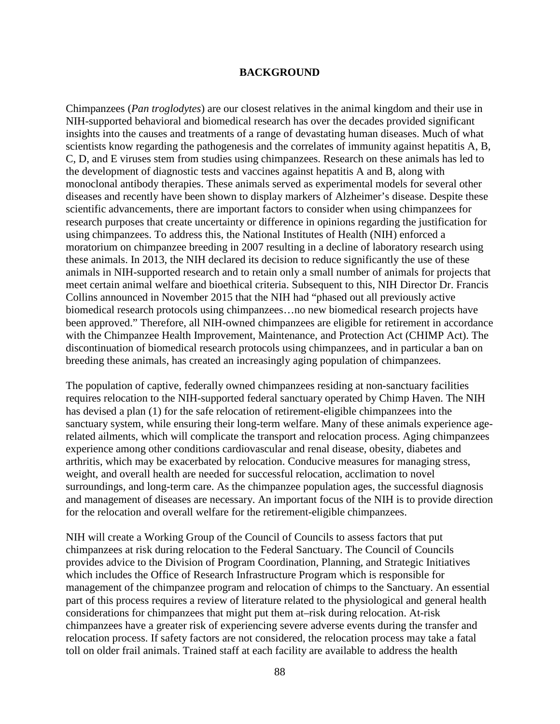## **BACKGROUND**

 diseases and recently have been shown to display markers of Alzheimer's disease. Despite these research purposes that create uncertainty or difference in opinions regarding the justification for these animals. In 2013, the NIH declared its decision to reduce significantly the use of these Chimpanzees (*Pan troglodytes*) are our closest relatives in the animal kingdom and their use in NIH-supported behavioral and biomedical research has over the decades provided significant insights into the causes and treatments of a range of devastating human diseases. Much of what scientists know regarding the pathogenesis and the correlates of immunity against hepatitis A, B, C, D, and E viruses stem from studies using chimpanzees. Research on these animals has led to the development of diagnostic tests and vaccines against hepatitis A and B, along with monoclonal antibody therapies. These animals served as experimental models for several other scientific advancements, there are important factors to consider when using chimpanzees for using chimpanzees. To address this, the National Institutes of Health (NIH) enforced a moratorium on chimpanzee breeding in 2007 resulting in a decline of laboratory research using animals in NIH-supported research and to retain only a small number of animals for projects that meet certain animal welfare and bioethical criteria. Subsequent to this, NIH Director Dr. Francis Collins announced in November 2015 that the NIH had "phased out all previously active biomedical research protocols using chimpanzees…no new biomedical research projects have been approved." Therefore, all NIH-owned chimpanzees are eligible for retirement in accordance with the Chimpanzee Health Improvement, Maintenance, and Protection Act (CHIMP Act). The discontinuation of biomedical research protocols using chimpanzees, and in particular a ban on breeding these animals, has created an increasingly aging population of chimpanzees.

 requires relocation to the NIH-supported federal sanctuary operated by Chimp Haven. The NIH experience among other conditions cardiovascular and renal disease, obesity, diabetes and arthritis, which may be exacerbated by relocation. Conducive measures for managing stress, and management of diseases are necessary. An important focus of the NIH is to provide direction The population of captive, federally owned chimpanzees residing at non-sanctuary facilities has devised a plan (1) for the safe relocation of retirement-eligible chimpanzees into the sanctuary system, while ensuring their long-term welfare. Many of these animals experience agerelated ailments, which will complicate the transport and relocation process. Aging chimpanzees weight, and overall health are needed for successful relocation, acclimation to novel surroundings, and long-term care. As the chimpanzee population ages, the successful diagnosis for the relocation and overall welfare for the retirement-eligible chimpanzees.

 provides advice to the Division of Program Coordination, Planning, and Strategic Initiatives relocation process. If safety factors are not considered, the relocation process may take a fatal NIH will create a Working Group of the Council of Councils to assess factors that put chimpanzees at risk during relocation to the Federal Sanctuary. The Council of Councils which includes the Office of Research Infrastructure Program which is responsible for management of the chimpanzee program and relocation of chimps to the Sanctuary. An essential part of this process requires a review of literature related to the physiological and general health considerations for chimpanzees that might put them at–risk during relocation. At-risk chimpanzees have a greater risk of experiencing severe adverse events during the transfer and toll on older frail animals. Trained staff at each facility are available to address the health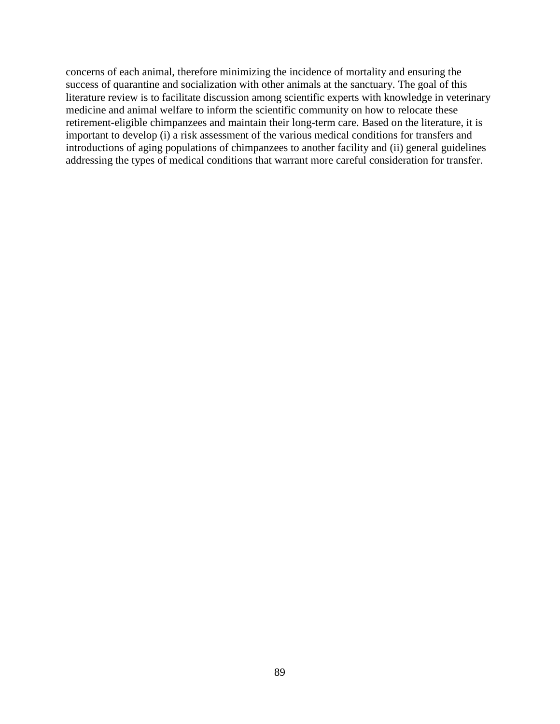introductions of aging populations of chimpanzees to another facility and (ii) general guidelines concerns of each animal, therefore minimizing the incidence of mortality and ensuring the success of quarantine and socialization with other animals at the sanctuary. The goal of this literature review is to facilitate discussion among scientific experts with knowledge in veterinary medicine and animal welfare to inform the scientific community on how to relocate these retirement-eligible chimpanzees and maintain their long-term care. Based on the literature, it is important to develop (i) a risk assessment of the various medical conditions for transfers and addressing the types of medical conditions that warrant more careful consideration for transfer.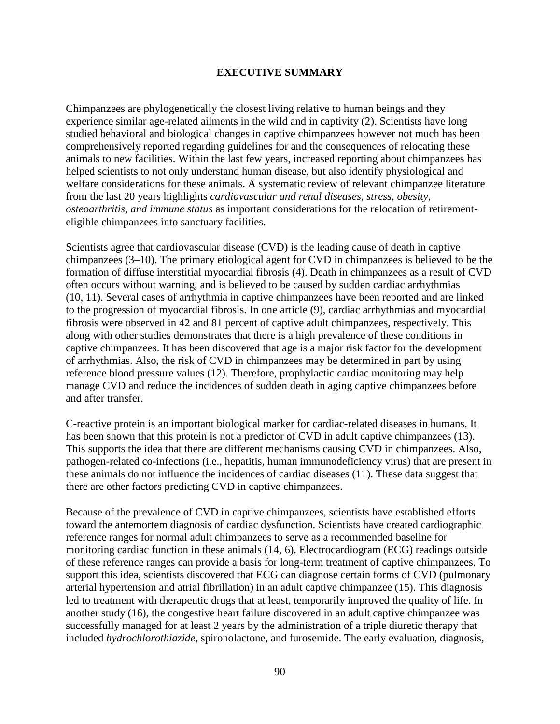## **EXECUTIVE SUMMARY**

 comprehensively reported regarding guidelines for and the consequences of relocating these animals to new facilities. Within the last few years, increased reporting about chimpanzees has Chimpanzees are phylogenetically the closest living relative to human beings and they experience similar age-related ailments in the wild and in captivity (2). Scientists have long studied behavioral and biological changes in captive chimpanzees however not much has been helped scientists to not only understand human disease, but also identify physiological and welfare considerations for these animals. A systematic review of relevant chimpanzee literature from the last 20 years highlights *cardiovascular and renal diseases, stress, obesity, osteoarthritis, and immune status* as important considerations for the relocation of retirementeligible chimpanzees into sanctuary facilities.

Scientists agree that cardiovascular disease (CVD) is the leading cause of death in captive chimpanzees (3–10). The primary etiological agent for CVD in chimpanzees is believed to be the formation of diffuse interstitial myocardial fibrosis (4). Death in chimpanzees as a result of CVD often occurs without warning, and is believed to be caused by sudden cardiac arrhythmias (10, 11). Several cases of arrhythmia in captive chimpanzees have been reported and are linked to the progression of myocardial fibrosis. In one article (9), cardiac arrhythmias and myocardial fibrosis were observed in 42 and 81 percent of captive adult chimpanzees, respectively. This along with other studies demonstrates that there is a high prevalence of these conditions in captive chimpanzees. It has been discovered that age is a major risk factor for the development of arrhythmias. Also, the risk of CVD in chimpanzees may be determined in part by using reference blood pressure values (12). Therefore, prophylactic cardiac monitoring may help manage CVD and reduce the incidences of sudden death in aging captive chimpanzees before and after transfer.

 C-reactive protein is an important biological marker for cardiac-related diseases in humans. It has been shown that this protein is not a predictor of CVD in adult captive chimpanzees (13). This supports the idea that there are different mechanisms causing CVD in chimpanzees. Also, pathogen-related co-infections (i.e., hepatitis, human immunodeficiency virus) that are present in these animals do not influence the incidences of cardiac diseases (11). These data suggest that there are other factors predicting CVD in captive chimpanzees.

 led to treatment with therapeutic drugs that at least, temporarily improved the quality of life. In included *hydrochlorothiazide*, spironolactone, and furosemide. The early evaluation, diagnosis, Because of the prevalence of CVD in captive chimpanzees, scientists have established efforts toward the antemortem diagnosis of cardiac dysfunction. Scientists have created cardiographic reference ranges for normal adult chimpanzees to serve as a recommended baseline for monitoring cardiac function in these animals (14, 6). Electrocardiogram (ECG) readings outside of these reference ranges can provide a basis for long-term treatment of captive chimpanzees. To support this idea, scientists discovered that ECG can diagnose certain forms of CVD (pulmonary arterial hypertension and atrial fibrillation) in an adult captive chimpanzee (15). This diagnosis another study (16), the congestive heart failure discovered in an adult captive chimpanzee was successfully managed for at least 2 years by the administration of a triple diuretic therapy that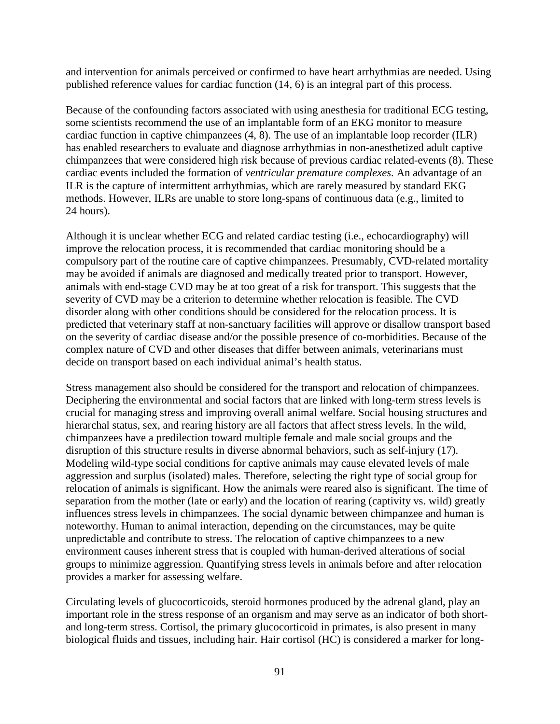published reference values for cardiac function (14, 6) is an integral part of this process. and intervention for animals perceived or confirmed to have heart arrhythmias are needed. Using

 some scientists recommend the use of an implantable form of an EKG monitor to measure 24 hours). Because of the confounding factors associated with using anesthesia for traditional ECG testing, cardiac function in captive chimpanzees (4, 8). The use of an implantable loop recorder (ILR) has enabled researchers to evaluate and diagnose arrhythmias in non-anesthetized adult captive chimpanzees that were considered high risk because of previous cardiac related-events (8). These cardiac events included the formation of *ventricular premature complexes*. An advantage of an ILR is the capture of intermittent arrhythmias, which are rarely measured by standard EKG methods. However, ILRs are unable to store long-spans of continuous data (e.g., limited to

Although it is unclear whether ECG and related cardiac testing (i.e., echocardiography) will improve the relocation process, it is recommended that cardiac monitoring should be a compulsory part of the routine care of captive chimpanzees. Presumably, CVD-related mortality may be avoided if animals are diagnosed and medically treated prior to transport. However, animals with end-stage CVD may be at too great of a risk for transport. This suggests that the severity of CVD may be a criterion to determine whether relocation is feasible. The CVD disorder along with other conditions should be considered for the relocation process. It is predicted that veterinary staff at non-sanctuary facilities will approve or disallow transport based on the severity of cardiac disease and/or the possible presence of co-morbidities. Because of the complex nature of CVD and other diseases that differ between animals, veterinarians must decide on transport based on each individual animal's health status.

 hierarchal status, sex, and rearing history are all factors that affect stress levels. In the wild, aggression and surplus (isolated) males. Therefore, selecting the right type of social group for relocation of animals is significant. How the animals were reared also is significant. The time of separation from the mother (late or early) and the location of rearing (captivity vs. wild) greatly Stress management also should be considered for the transport and relocation of chimpanzees. Deciphering the environmental and social factors that are linked with long-term stress levels is crucial for managing stress and improving overall animal welfare. Social housing structures and chimpanzees have a predilection toward multiple female and male social groups and the disruption of this structure results in diverse abnormal behaviors, such as self-injury (17). Modeling wild-type social conditions for captive animals may cause elevated levels of male influences stress levels in chimpanzees. The social dynamic between chimpanzee and human is noteworthy. Human to animal interaction, depending on the circumstances, may be quite unpredictable and contribute to stress. The relocation of captive chimpanzees to a new environment causes inherent stress that is coupled with human-derived alterations of social groups to minimize aggression. Quantifying stress levels in animals before and after relocation provides a marker for assessing welfare.

Circulating levels of glucocorticoids, steroid hormones produced by the adrenal gland, play an important role in the stress response of an organism and may serve as an indicator of both shortand long-term stress. Cortisol, the primary glucocorticoid in primates, is also present in many biological fluids and tissues, including hair. Hair cortisol (HC) is considered a marker for long-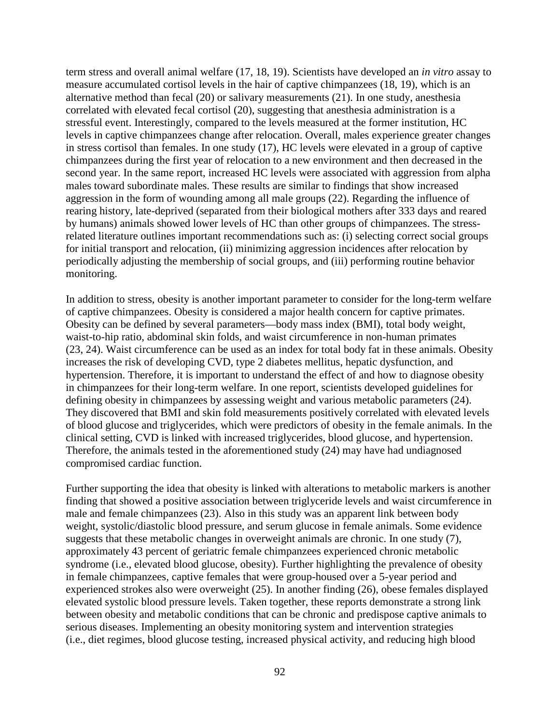second year. In the same report, increased HC levels were associated with aggression from alpha rearing history, late-deprived (separated from their biological mothers after 333 days and reared by humans) animals showed lower levels of HC than other groups of chimpanzees. The stressterm stress and overall animal welfare (17, 18, 19). Scientists have developed an *in vitro* assay to measure accumulated cortisol levels in the hair of captive chimpanzees (18, 19), which is an alternative method than fecal (20) or salivary measurements (21). In one study, anesthesia correlated with elevated fecal cortisol (20), suggesting that anesthesia administration is a stressful event. Interestingly, compared to the levels measured at the former institution, HC levels in captive chimpanzees change after relocation. Overall, males experience greater changes in stress cortisol than females. In one study (17), HC levels were elevated in a group of captive chimpanzees during the first year of relocation to a new environment and then decreased in the males toward subordinate males. These results are similar to findings that show increased aggression in the form of wounding among all male groups (22). Regarding the influence of related literature outlines important recommendations such as: (i) selecting correct social groups for initial transport and relocation, (ii) minimizing aggression incidences after relocation by periodically adjusting the membership of social groups, and (iii) performing routine behavior monitoring.

In addition to stress, obesity is another important parameter to consider for the long-term welfare of captive chimpanzees. Obesity is considered a major health concern for captive primates. Obesity can be defined by several parameters—body mass index (BMI), total body weight, waist-to-hip ratio, abdominal skin folds, and waist circumference in non-human primates (23, 24). Waist circumference can be used as an index for total body fat in these animals. Obesity increases the risk of developing CVD, type 2 diabetes mellitus, hepatic dysfunction, and hypertension. Therefore, it is important to understand the effect of and how to diagnose obesity in chimpanzees for their long-term welfare. In one report, scientists developed guidelines for defining obesity in chimpanzees by assessing weight and various metabolic parameters (24). They discovered that BMI and skin fold measurements positively correlated with elevated levels of blood glucose and triglycerides, which were predictors of obesity in the female animals. In the clinical setting, CVD is linked with increased triglycerides, blood glucose, and hypertension. Therefore, the animals tested in the aforementioned study (24) may have had undiagnosed compromised cardiac function.

 finding that showed a positive association between triglyceride levels and waist circumference in Further supporting the idea that obesity is linked with alterations to metabolic markers is another male and female chimpanzees (23). Also in this study was an apparent link between body weight, systolic/diastolic blood pressure, and serum glucose in female animals. Some evidence suggests that these metabolic changes in overweight animals are chronic. In one study (7), approximately 43 percent of geriatric female chimpanzees experienced chronic metabolic syndrome (i.e., elevated blood glucose, obesity). Further highlighting the prevalence of obesity in female chimpanzees, captive females that were group-housed over a 5-year period and experienced strokes also were overweight (25). In another finding (26), obese females displayed elevated systolic blood pressure levels. Taken together, these reports demonstrate a strong link between obesity and metabolic conditions that can be chronic and predispose captive animals to serious diseases. Implementing an obesity monitoring system and intervention strategies (i.e., diet regimes, blood glucose testing, increased physical activity, and reducing high blood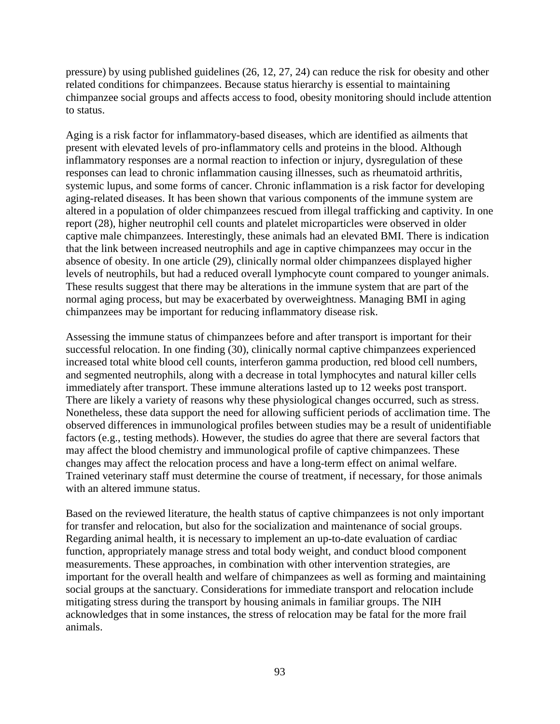pressure) by using published guidelines (26, 12, 27, 24) can reduce the risk for obesity and other related conditions for chimpanzees. Because status hierarchy is essential to maintaining chimpanzee social groups and affects access to food, obesity monitoring should include attention to status.

 Aging is a risk factor for inflammatory-based diseases, which are identified as ailments that present with elevated levels of pro-inflammatory cells and proteins in the blood. Although inflammatory responses are a normal reaction to infection or injury, dysregulation of these responses can lead to chronic inflammation causing illnesses, such as rheumatoid arthritis, systemic lupus, and some forms of cancer. Chronic inflammation is a risk factor for developing aging-related diseases. It has been shown that various components of the immune system are altered in a population of older chimpanzees rescued from illegal trafficking and captivity. In one report (28), higher neutrophil cell counts and platelet microparticles were observed in older captive male chimpanzees. Interestingly, these animals had an elevated BMI. There is indication that the link between increased neutrophils and age in captive chimpanzees may occur in the absence of obesity. In one article (29), clinically normal older chimpanzees displayed higher levels of neutrophils, but had a reduced overall lymphocyte count compared to younger animals. These results suggest that there may be alterations in the immune system that are part of the normal aging process, but may be exacerbated by overweightness. Managing BMI in aging chimpanzees may be important for reducing inflammatory disease risk.

 successful relocation. In one finding (30), clinically normal captive chimpanzees experienced There are likely a variety of reasons why these physiological changes occurred, such as stress. Assessing the immune status of chimpanzees before and after transport is important for their increased total white blood cell counts, interferon gamma production, red blood cell numbers, and segmented neutrophils, along with a decrease in total lymphocytes and natural killer cells immediately after transport. These immune alterations lasted up to 12 weeks post transport. Nonetheless, these data support the need for allowing sufficient periods of acclimation time. The observed differences in immunological profiles between studies may be a result of unidentifiable factors (e.g., testing methods). However, the studies do agree that there are several factors that may affect the blood chemistry and immunological profile of captive chimpanzees. These changes may affect the relocation process and have a long-term effect on animal welfare. Trained veterinary staff must determine the course of treatment, if necessary, for those animals with an altered immune status.

Based on the reviewed literature, the health status of captive chimpanzees is not only important for transfer and relocation, but also for the socialization and maintenance of social groups. Regarding animal health, it is necessary to implement an up-to-date evaluation of cardiac function, appropriately manage stress and total body weight, and conduct blood component measurements. These approaches, in combination with other intervention strategies, are important for the overall health and welfare of chimpanzees as well as forming and maintaining social groups at the sanctuary. Considerations for immediate transport and relocation include mitigating stress during the transport by housing animals in familiar groups. The NIH acknowledges that in some instances, the stress of relocation may be fatal for the more frail animals.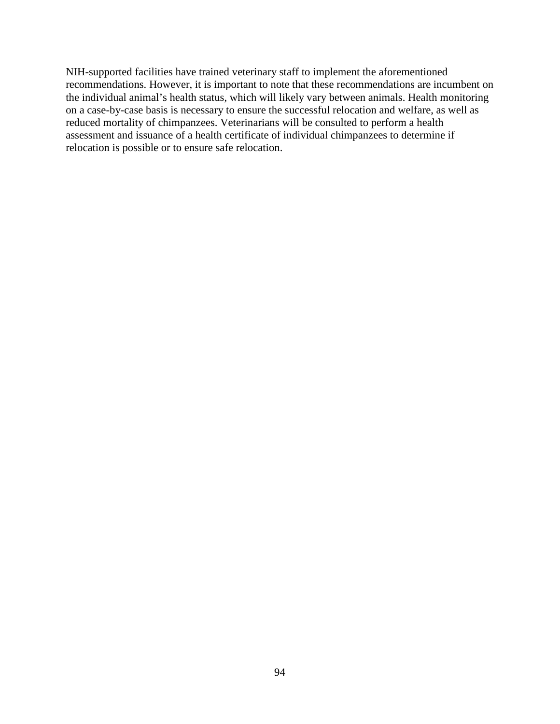NIH-supported facilities have trained veterinary staff to implement the aforementioned recommendations. However, it is important to note that these recommendations are incumbent on the individual animal's health status, which will likely vary between animals. Health monitoring on a case-by-case basis is necessary to ensure the successful relocation and welfare, as well as reduced mortality of chimpanzees. Veterinarians will be consulted to perform a health assessment and issuance of a health certificate of individual chimpanzees to determine if relocation is possible or to ensure safe relocation.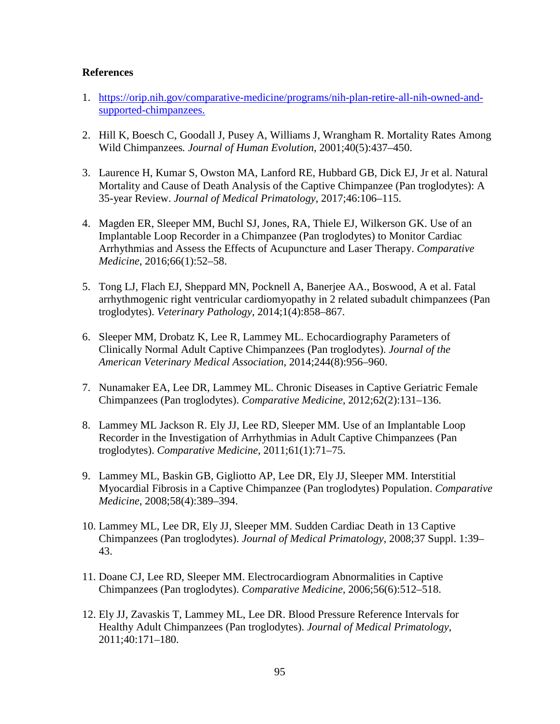## **References**

- 1. [https://orip.nih.gov/comparative-medicine/programs/nih-plan-retire-all-nih-owned-and](https://orip.nih.gov/comparative-medicine/programs/nih-plan-retire-all-nih-owned-and-supported-chimpanzees)[supported-chimpanzees.](https://orip.nih.gov/comparative-medicine/programs/nih-plan-retire-all-nih-owned-and-supported-chimpanzees)
- 2. Hill K, Boesch C, Goodall J, Pusey A, Williams J, Wrangham R. Mortality Rates Among Wild Chimpanzees*. Journal of Human Evolution*, 2001;40(5):437–450.
- 35-year Review. *Journal of Medical Primatology*, 2017;46:106–115. 3. Laurence H, Kumar S, Owston MA, Lanford RE, Hubbard GB, Dick EJ, Jr et al. Natural Mortality and Cause of Death Analysis of the Captive Chimpanzee (Pan troglodytes): A
- Medicine, 2016;66(1):52-58. 4. Magden ER, Sleeper MM, Buchl SJ, Jones, RA, Thiele EJ, Wilkerson GK. Use of an Implantable Loop Recorder in a Chimpanzee (Pan troglodytes) to Monitor Cardiac Arrhythmias and Assess the Effects of Acupuncture and Laser Therapy. *Comparative*
- *Medicine*, 2016;66(1):52–58. 5. Tong LJ, Flach EJ, Sheppard MN, Pocknell A, Banerjee AA., Boswood, A et al. Fatal arrhythmogenic right ventricular cardiomyopathy in 2 related subadult chimpanzees (Pan troglodytes). *Veterinary Pathology*, 2014;1(4):858–867.
- Clinically Normal Adult Captive Chimpanzees (Pan troglodytes). *Journal of the*  6. Sleeper MM, Drobatz K, Lee R, Lammey ML. Echocardiography Parameters of *American Veterinary Medical Association*, 2014;244(8):956–960.
- 7. Nunamaker EA, Lee DR, Lammey ML. Chronic Diseases in Captive Geriatric Female Chimpanzees (Pan troglodytes). *Comparative Medicine*, 2012;62(2):131–136.
- 8. Lammey ML Jackson R. Ely JJ, Lee RD, Sleeper MM. Use of an Implantable Loop Recorder in the Investigation of Arrhythmias in Adult Captive Chimpanzees (Pan troglodytes). *Comparative Medicine*, 2011;61(1):71–75.
- 9. Lammey ML, Baskin GB, Gigliotto AP, Lee DR, Ely JJ, Sleeper MM. Interstitial *Medicine*, 2008;58(4):389-394. Myocardial Fibrosis in a Captive Chimpanzee (Pan troglodytes) Population. *Comparative*
- *Medicine*, 2008;58(4):389–394.<br>10. Lammey ML, Lee DR, Ely JJ, Sleeper MM. Sudden Cardiac Death in 13 Captive Chimpanzees (Pan troglodytes). *Journal of Medical Primatology*, 2008;37 Suppl. 1:39– 43.
- 11. Doane CJ, Lee RD, Sleeper MM. Electrocardiogram Abnormalities in Captive Chimpanzees (Pan troglodytes). *Comparative Medicine*, 2006;56(6):512–518.
- 12. Ely JJ, Zavaskis T, Lammey ML, Lee DR. Blood Pressure Reference Intervals for Healthy Adult Chimpanzees (Pan troglodytes). *Journal of Medical Primatology*, 2011;40:171–180.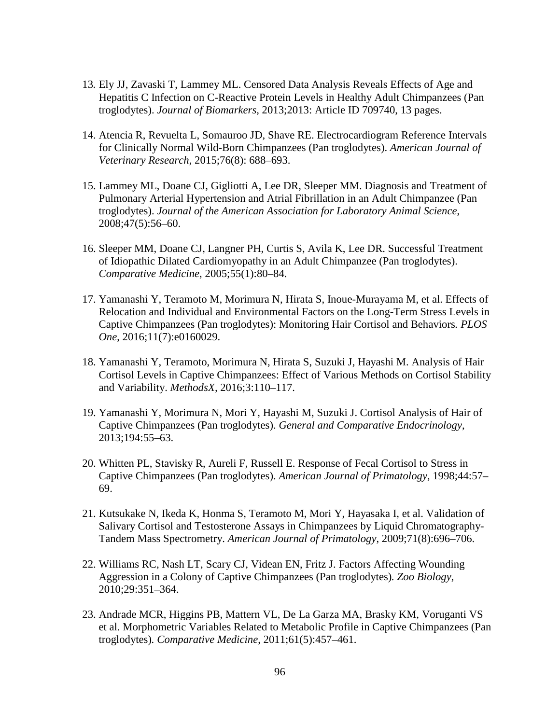- 13*.* Ely JJ, Zavaski T, Lammey ML. Censored Data Analysis Reveals Effects of Age and Hepatitis C Infection on C-Reactive Protein Levels in Healthy Adult Chimpanzees (Pan troglodytes). *Journal of Biomarkers*, 2013;2013: Article ID 709740, 13 pages.
- 14. Atencia R, Revuelta L, Somauroo JD, Shave RE. Electrocardiogram Reference Intervals for Clinically Normal Wild-Born Chimpanzees (Pan troglodytes). *American Journal of Veterinary Research*, 2015;76(8): 688–693.
- 15. Lammey ML, Doane CJ, Gigliotti A, Lee DR, Sleeper MM. Diagnosis and Treatment of Pulmonary Arterial Hypertension and Atrial Fibrillation in an Adult Chimpanzee (Pan troglodytes). *Journal of the American Association for Laboratory Animal Science*, 2008;47(5):56–60.
- 16. Sleeper MM, Doane CJ, Langner PH, Curtis S, Avila K, Lee DR. Successful Treatment of Idiopathic Dilated Cardiomyopathy in an Adult Chimpanzee (Pan troglodytes). *Comparative Medicine*, 2005;55(1):80–84.
- Relocation and Individual and Environmental Factors on the Long-Term Stress Levels in 17. Yamanashi Y, Teramoto M, Morimura N, Hirata S, Inoue-Murayama M, et al. Effects of Captive Chimpanzees (Pan troglodytes): Monitoring Hair Cortisol and Behaviors*. PLOS One*, 2016;11(7):e0160029.
- 18. Yamanashi Y, Teramoto, Morimura N, Hirata S, Suzuki J, Hayashi M. Analysis of Hair Cortisol Levels in Captive Chimpanzees: Effect of Various Methods on Cortisol Stability and Variability. *MethodsX,* 2016;3:110–117.
- 19. Yamanashi Y, Morimura N, Mori Y, Hayashi M, Suzuki J. Cortisol Analysis of Hair of Captive Chimpanzees (Pan troglodytes). *General and Comparative Endocrinology*, 2013;194:55–63.
- 20. Whitten PL, Stavisky R, Aureli F, Russell E. Response of Fecal Cortisol to Stress in Captive Chimpanzees (Pan troglodytes). *American Journal of Primatology*, 1998;44:57– 69.
- 21. Kutsukake N, Ikeda K, Honma S, Teramoto M, Mori Y, Hayasaka I, et al. Validation of Salivary Cortisol and Testosterone Assays in Chimpanzees by Liquid Chromatography-Tandem Mass Spectrometry. *American Journal of Primatology*, 2009;71(8):696–706.
- 22. Williams RC, Nash LT, Scary CJ, Videan EN, Fritz J. Factors Affecting Wounding Aggression in a Colony of Captive Chimpanzees (Pan troglodytes)*. Zoo Biology*, 2010;29:351–364.
- 23. Andrade MCR, Higgins PB, Mattern VL, De La Garza MA, Brasky KM, Voruganti VS et al. Morphometric Variables Related to Metabolic Profile in Captive Chimpanzees (Pan troglodytes)*. Comparative Medicine*, 2011;61(5):457–461.